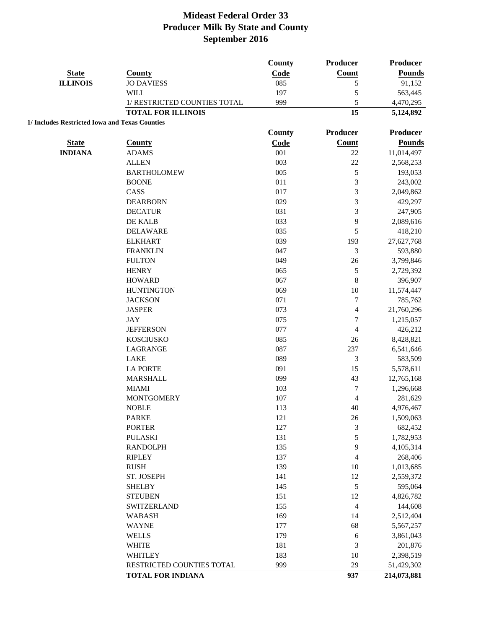|                                                |                              | County | Producer                | Producer      |
|------------------------------------------------|------------------------------|--------|-------------------------|---------------|
| <b>State</b>                                   | <b>County</b>                | Code   | Count                   | <b>Pounds</b> |
| <b>ILLINOIS</b>                                | <b>JO DAVIESS</b>            | 085    | 5                       | 91,152        |
|                                                | <b>WILL</b>                  | 197    | 5                       | 563,445       |
|                                                | 1/ RESTRICTED COUNTIES TOTAL | 999    | 5                       | 4,470,295     |
|                                                | <b>TOTAL FOR ILLINOIS</b>    |        | 15                      | 5,124,892     |
| 1/ Includes Restricted Iowa and Texas Counties |                              |        |                         |               |
|                                                |                              | County | Producer                | Producer      |
| <b>State</b>                                   | <b>County</b>                | Code   | Count                   | <b>Pounds</b> |
| <b>INDIANA</b>                                 | <b>ADAMS</b>                 | 001    | $22\,$                  | 11,014,497    |
|                                                | <b>ALLEN</b>                 | 003    | 22                      | 2,568,253     |
|                                                | <b>BARTHOLOMEW</b>           | 005    | 5                       | 193,053       |
|                                                | <b>BOONE</b>                 | 011    | 3                       | 243,002       |
|                                                | CASS                         | 017    | 3                       | 2,049,862     |
|                                                | <b>DEARBORN</b>              | 029    | 3                       | 429,297       |
|                                                | <b>DECATUR</b>               | 031    | $\overline{3}$          | 247,905       |
|                                                | DE KALB                      | 033    | 9                       | 2,089,616     |
|                                                | <b>DELAWARE</b>              | 035    | 5                       | 418,210       |
|                                                | <b>ELKHART</b>               | 039    | 193                     | 27,627,768    |
|                                                | <b>FRANKLIN</b>              | 047    | 3                       | 593,880       |
|                                                | <b>FULTON</b>                | 049    | 26                      | 3,799,846     |
|                                                | <b>HENRY</b>                 | 065    | $\mathfrak s$           | 2,729,392     |
|                                                | <b>HOWARD</b>                | 067    | 8                       | 396,907       |
|                                                | <b>HUNTINGTON</b>            | 069    | 10                      | 11,574,447    |
|                                                | <b>JACKSON</b>               | 071    | $\sqrt{ }$              | 785,762       |
|                                                | <b>JASPER</b>                | 073    | 4                       | 21,760,296    |
|                                                | <b>JAY</b>                   | 075    | $\boldsymbol{7}$        | 1,215,057     |
|                                                | <b>JEFFERSON</b>             | 077    | $\overline{4}$          | 426,212       |
|                                                | <b>KOSCIUSKO</b>             | 085    | 26                      | 8,428,821     |
|                                                | LAGRANGE                     | 087    | 237                     | 6,541,646     |
|                                                | <b>LAKE</b>                  | 089    | 3                       | 583,509       |
|                                                | <b>LA PORTE</b>              | 091    | 15                      | 5,578,611     |
|                                                | <b>MARSHALL</b>              | 099    | 43                      | 12,765,168    |
|                                                | <b>MIAMI</b>                 | 103    | 7                       | 1,296,668     |
|                                                | <b>MONTGOMERY</b>            | 107    | 4                       | 281,629       |
|                                                | <b>NOBLE</b>                 | 113    | 40                      | 4,976,467     |
|                                                | <b>PARKE</b>                 | 121    | $26\,$                  | 1,509,063     |
|                                                | <b>PORTER</b>                | 127    | $\mathfrak{Z}$          | 682,452       |
|                                                | <b>PULASKI</b>               | 131    | 5                       | 1,782,953     |
|                                                | <b>RANDOLPH</b>              | 135    | 9                       | 4,105,314     |
|                                                | <b>RIPLEY</b>                | 137    | $\overline{\mathbf{4}}$ | 268,406       |
|                                                | <b>RUSH</b>                  | 139    | 10                      | 1,013,685     |
|                                                | ST. JOSEPH                   | 141    | 12                      | 2,559,372     |
|                                                | <b>SHELBY</b>                | 145    | $\sqrt{5}$              | 595,064       |
|                                                | <b>STEUBEN</b>               | 151    | 12                      | 4,826,782     |
|                                                | SWITZERLAND                  | 155    | $\overline{4}$          | 144,608       |
|                                                | <b>WABASH</b>                | 169    | 14                      | 2,512,404     |
|                                                | <b>WAYNE</b>                 | 177    | 68                      | 5,567,257     |
|                                                | <b>WELLS</b>                 | 179    | $\sqrt{6}$              | 3,861,043     |
|                                                | <b>WHITE</b>                 | 181    | 3                       |               |
|                                                | <b>WHITLEY</b>               | 183    | 10                      | 201,876       |
|                                                |                              |        | 29                      | 2,398,519     |
|                                                | RESTRICTED COUNTIES TOTAL    | 999    |                         | 51,429,302    |
|                                                | <b>TOTAL FOR INDIANA</b>     |        | 937                     | 214,073,881   |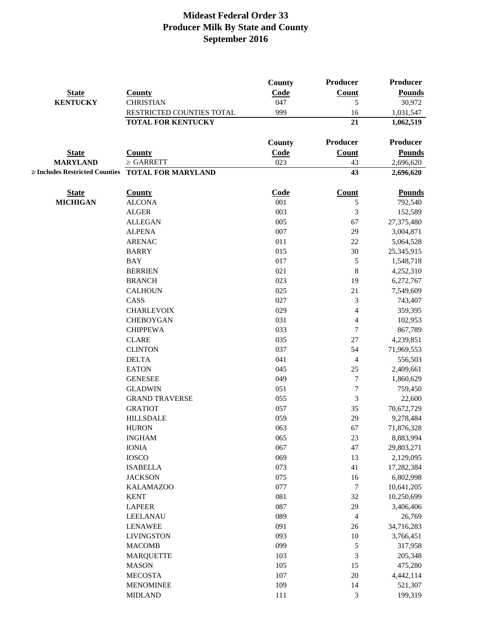|                 |                                                    | <b>County</b> | <b>Producer</b>          | <b>Producer</b> |
|-----------------|----------------------------------------------------|---------------|--------------------------|-----------------|
| <b>State</b>    | <b>County</b>                                      | Code          | <b>Count</b>             | <b>Pounds</b>   |
| <b>KENTUCKY</b> | <b>CHRISTIAN</b>                                   | 047           | 5                        | 30,972          |
|                 | RESTRICTED COUNTIES TOTAL                          | 999           | 16                       | 1,031,547       |
|                 | <b>TOTAL FOR KENTUCKY</b>                          |               | 21                       | 1,062,519       |
|                 |                                                    | County        | Producer                 | Producer        |
| <b>State</b>    | <b>County</b>                                      | Code          | <b>Count</b>             | <b>Pounds</b>   |
| <b>MARYLAND</b> | 2/ GARRETT                                         | 023           | 43                       | 2,696,620       |
|                 | 2/ Includes Restricted Counties TOTAL FOR MARYLAND |               | 43                       | 2,696,620       |
|                 |                                                    |               |                          |                 |
| <b>State</b>    | <b>County</b>                                      | Code          | <b>Count</b>             | <b>Pounds</b>   |
| <b>MICHIGAN</b> | <b>ALCONA</b>                                      | 001           | 5                        | 792,540         |
|                 | <b>ALGER</b>                                       | 003           | 3                        | 152,589         |
|                 | <b>ALLEGAN</b>                                     | 005           | 67                       | 27,375,480      |
|                 | <b>ALPENA</b>                                      | 007           | 29                       | 3,004,871       |
|                 | <b>ARENAC</b>                                      | 011           | 22                       | 5,064,528       |
|                 | <b>BARRY</b>                                       | 015           | 30                       | 25,345,915      |
|                 | <b>BAY</b>                                         | 017           | 5                        | 1,548,718       |
|                 | <b>BERRIEN</b>                                     | 021           | 8                        | 4,252,310       |
|                 | <b>BRANCH</b>                                      | 023           | 19                       | 6,272,767       |
|                 | <b>CALHOUN</b>                                     | 025           | 21                       | 7,549,609       |
|                 | CASS                                               | 027           | 3                        | 743,407         |
|                 | <b>CHARLEVOIX</b>                                  | 029           | $\overline{\mathcal{L}}$ | 359,395         |
|                 | <b>CHEBOYGAN</b>                                   | 031           | 4                        | 102,953         |
|                 | <b>CHIPPEWA</b>                                    | 033           | 7                        | 867,789         |
|                 | <b>CLARE</b>                                       | 035           | 27                       | 4,239,851       |
|                 | <b>CLINTON</b>                                     | 037           | 54                       | 71,969,553      |
|                 | <b>DELTA</b>                                       | 041           | 4                        | 556,503         |
|                 | <b>EATON</b>                                       | 045           | 25                       | 2,409,661       |
|                 | <b>GENESEE</b>                                     | 049           | $\boldsymbol{7}$         | 1,860,629       |
|                 | <b>GLADWIN</b>                                     | 051           | 7                        | 759,450         |
|                 | <b>GRAND TRAVERSE</b>                              | 055           | 3                        | 22,600          |
|                 | <b>GRATIOT</b>                                     | 057           | 35                       | 70,672,729      |
|                 | <b>HILLSDALE</b>                                   | 059           | 29                       |                 |
|                 |                                                    |               |                          | 9,278,484       |
|                 | <b>HURON</b><br><b>INGHAM</b>                      | 063           | 67                       | 71,876,328      |
|                 |                                                    | 065           | 23                       | 8,883,994       |
|                 | <b>IONIA</b>                                       | 067           | 47                       | 29,803,271      |
|                 | <b>IOSCO</b>                                       | 069           | 13                       | 2,129,095       |
|                 | <b>ISABELLA</b>                                    | 073           | 41                       | 17,282,384      |
|                 | <b>JACKSON</b>                                     | 075           | 16                       | 6,802,998       |
|                 | <b>KALAMAZOO</b>                                   | 077           | $\overline{7}$           | 10,641,205      |
|                 | <b>KENT</b>                                        | 081           | 32                       | 10,250,699      |
|                 | <b>LAPEER</b>                                      | 087           | 29                       | 3,406,406       |
|                 | <b>LEELANAU</b>                                    | 089           | 4                        | 26,769          |
|                 | <b>LENAWEE</b>                                     | 091           | $26\,$                   | 34,716,283      |
|                 | <b>LIVINGSTON</b>                                  | 093           | $10\,$                   | 3,766,451       |
|                 | <b>MACOMB</b>                                      | 099           | $\mathfrak s$            | 317,958         |
|                 | <b>MARQUETTE</b>                                   | 103           | $\mathfrak{Z}$           | 205,348         |
|                 | <b>MASON</b>                                       | 105           | 15                       | 475,280         |
|                 | <b>MECOSTA</b>                                     | 107           | $20\,$                   | 4,442,114       |
|                 | <b>MENOMINEE</b>                                   | 109           | 14                       | 521,307         |
|                 | <b>MIDLAND</b>                                     | 111           | 3                        | 199,319         |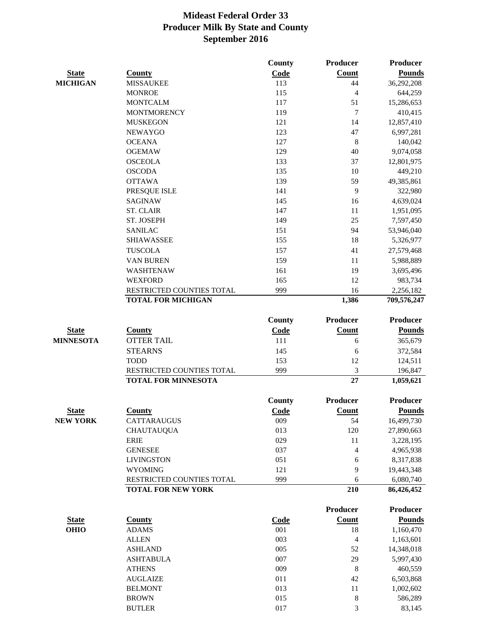|                  |                            | County      | <b>Producer</b> | Producer        |
|------------------|----------------------------|-------------|-----------------|-----------------|
| <b>State</b>     | <b>County</b>              | Code        | Count           | <b>Pounds</b>   |
| <b>MICHIGAN</b>  | <b>MISSAUKEE</b>           | 113         | 44              | 36,292,208      |
|                  | <b>MONROE</b>              | 115         | $\overline{4}$  | 644,259         |
|                  | <b>MONTCALM</b>            | 117         | 51              | 15,286,653      |
|                  | <b>MONTMORENCY</b>         | 119         | $\overline{7}$  | 410,415         |
|                  | <b>MUSKEGON</b>            | 121         | 14              | 12,857,410      |
|                  | <b>NEWAYGO</b>             | 123         | 47              | 6,997,281       |
|                  | <b>OCEANA</b>              | 127         | $\,8\,$         | 140,042         |
|                  | <b>OGEMAW</b>              | 129         | 40              | 9,074,058       |
|                  | <b>OSCEOLA</b>             | 133         | 37              | 12,801,975      |
|                  | <b>OSCODA</b>              | 135         | 10              | 449,210         |
|                  | <b>OTTAWA</b>              | 139         | 59              | 49,385,861      |
|                  | PRESQUE ISLE               | 141         | 9               | 322,980         |
|                  | <b>SAGINAW</b>             | 145         | 16              | 4,639,024       |
|                  | <b>ST. CLAIR</b>           | 147         | 11              | 1,951,095       |
|                  | ST. JOSEPH                 | 149         | 25              | 7,597,450       |
|                  | <b>SANILAC</b>             | 151         | 94              | 53,946,040      |
|                  | <b>SHIAWASSEE</b>          | 155         | 18              | 5,326,977       |
|                  | <b>TUSCOLA</b>             | 157         | 41              | 27,579,468      |
|                  | <b>VAN BUREN</b>           | 159         | 11              | 5,988,889       |
|                  | WASHTENAW                  | 161         | 19              | 3,695,496       |
|                  | <b>WEXFORD</b>             | 165         | 12              | 983,734         |
|                  | RESTRICTED COUNTIES TOTAL  | 999         | 16              | 2,256,182       |
|                  | <b>TOTAL FOR MICHIGAN</b>  |             | 1,386           | 709,576,247     |
|                  |                            | County      | <b>Producer</b> | <b>Producer</b> |
| <b>State</b>     | <b>County</b>              | Code        | Count           | <b>Pounds</b>   |
| <b>MINNESOTA</b> | <b>OTTER TAIL</b>          | 111         | 6               | 365,679         |
|                  | <b>STEARNS</b>             | 145         | 6               | 372,584         |
|                  | <b>TODD</b>                | 153         | 12              | 124,511         |
|                  | RESTRICTED COUNTIES TOTAL  | 999         | 3               | 196,847         |
|                  | <b>TOTAL FOR MINNESOTA</b> |             | 27              | 1,059,621       |
|                  |                            | County      | Producer        | <b>Producer</b> |
| <b>State</b>     | <b>County</b>              | Code        | Count           | <b>Pounds</b>   |
| <b>NEW YORK</b>  | CATTARAUGUS                | 009         | 54              | 16,499,730      |
|                  | <b>CHAUTAUQUA</b>          | 013         | 120             | 27,890,663      |
|                  | <b>ERIE</b>                | 029         | 11              | 3,228,195       |
|                  | <b>GENESEE</b>             | 037         | 4               | 4,965,938       |
|                  | <b>LIVINGSTON</b>          | 051         | 6               | 8,317,838       |
|                  | <b>WYOMING</b>             | 121         | 9               | 19,443,348      |
|                  | RESTRICTED COUNTIES TOTAL  | 999         | 6               | 6,080,740       |
|                  | <b>TOTAL FOR NEW YORK</b>  |             | 210             | 86,426,452      |
|                  |                            |             | <b>Producer</b> | <b>Producer</b> |
| <b>State</b>     | <b>County</b>              | <b>Code</b> | Count           | <b>Pounds</b>   |
| <b>OHIO</b>      | <b>ADAMS</b>               | 001         | 18              | 1,160,470       |
|                  | <b>ALLEN</b>               | 003         | $\overline{4}$  | 1,163,601       |
|                  | <b>ASHLAND</b>             | 005         | 52              | 14,348,018      |
|                  | <b>ASHTABULA</b>           | 007         | 29              | 5,997,430       |
|                  | <b>ATHENS</b>              | 009         | $\,8\,$         | 460,559         |
|                  | <b>AUGLAIZE</b>            | 011         | 42              | 6,503,868       |
|                  | <b>BELMONT</b>             | 013         | 11              | 1,002,602       |
|                  | <b>BROWN</b>               | 015         | 8               | 586,289         |
|                  | <b>BUTLER</b>              | 017         | 3               | 83,145          |
|                  |                            |             |                 |                 |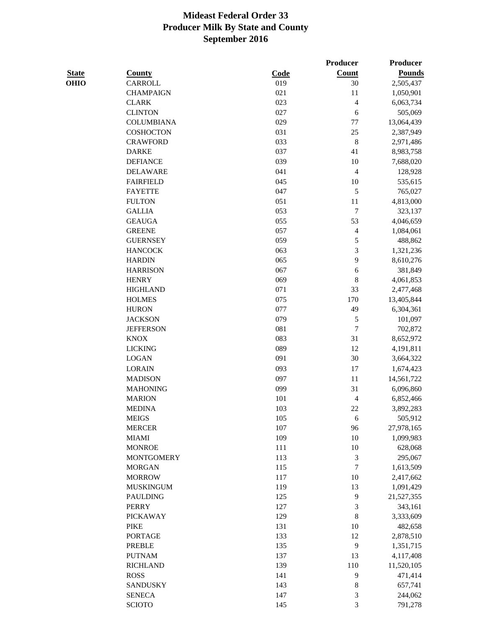|              |                   |      | Producer                 | <b>Producer</b> |
|--------------|-------------------|------|--------------------------|-----------------|
| <b>State</b> | <b>County</b>     | Code | Count                    | <b>Pounds</b>   |
| <b>OHIO</b>  | <b>CARROLL</b>    | 019  | 30                       | 2,505,437       |
|              | <b>CHAMPAIGN</b>  | 021  | 11                       | 1,050,901       |
|              | <b>CLARK</b>      | 023  | 4                        | 6,063,734       |
|              | <b>CLINTON</b>    | 027  | 6                        | 505,069         |
|              | <b>COLUMBIANA</b> | 029  | 77                       | 13,064,439      |
|              | <b>COSHOCTON</b>  | 031  | 25                       | 2,387,949       |
|              | <b>CRAWFORD</b>   | 033  | $\,8\,$                  | 2,971,486       |
|              | <b>DARKE</b>      | 037  | 41                       | 8,983,758       |
|              | <b>DEFIANCE</b>   | 039  | 10                       | 7,688,020       |
|              | <b>DELAWARE</b>   | 041  | $\overline{\mathcal{L}}$ | 128,928         |
|              | <b>FAIRFIELD</b>  | 045  | $10\,$                   | 535,615         |
|              | <b>FAYETTE</b>    | 047  | 5                        | 765,027         |
|              | <b>FULTON</b>     | 051  | 11                       | 4,813,000       |
|              | <b>GALLIA</b>     | 053  | 7                        | 323,137         |
|              | <b>GEAUGA</b>     | 055  | 53                       | 4,046,659       |
|              | <b>GREENE</b>     | 057  | 4                        | 1,084,061       |
|              | <b>GUERNSEY</b>   | 059  | 5                        | 488,862         |
|              | <b>HANCOCK</b>    | 063  | 3                        | 1,321,236       |
|              | <b>HARDIN</b>     | 065  | 9                        | 8,610,276       |
|              | <b>HARRISON</b>   | 067  | 6                        | 381,849         |
|              | <b>HENRY</b>      | 069  | 8                        | 4,061,853       |
|              | <b>HIGHLAND</b>   | 071  | 33                       | 2,477,468       |
|              | <b>HOLMES</b>     | 075  | 170                      | 13,405,844      |
|              | <b>HURON</b>      | 077  | 49                       | 6,304,361       |
|              | <b>JACKSON</b>    | 079  | 5                        | 101,097         |
|              | <b>JEFFERSON</b>  | 081  | 7                        | 702,872         |
|              | <b>KNOX</b>       | 083  | 31                       | 8,652,972       |
|              | <b>LICKING</b>    | 089  | 12                       | 4,191,811       |
|              | <b>LOGAN</b>      | 091  | 30                       | 3,664,322       |
|              | <b>LORAIN</b>     | 093  | 17                       | 1,674,423       |
|              | <b>MADISON</b>    | 097  | 11                       | 14,561,722      |
|              | <b>MAHONING</b>   | 099  | 31                       | 6,096,860       |
|              | <b>MARION</b>     | 101  | 4                        | 6,852,466       |
|              | <b>MEDINA</b>     | 103  | 22                       | 3,892,283       |
|              | <b>MEIGS</b>      | 105  | 6                        | 505,912         |
|              | <b>MERCER</b>     | 107  | 96                       | 27,978,165      |
|              | <b>MIAMI</b>      | 109  | $10\,$                   | 1,099,983       |
|              | <b>MONROE</b>     | 111  | $10\,$                   | 628,068         |
|              | <b>MONTGOMERY</b> | 113  | $\mathfrak 3$            | 295,067         |
|              | <b>MORGAN</b>     | 115  | $\overline{7}$           | 1,613,509       |
|              | <b>MORROW</b>     | 117  | $10\,$                   | 2,417,662       |
|              | <b>MUSKINGUM</b>  | 119  | 13                       | 1,091,429       |
|              | <b>PAULDING</b>   | 125  | 9                        | 21,527,355      |
|              | <b>PERRY</b>      | 127  | 3                        | 343,161         |
|              | <b>PICKAWAY</b>   | 129  | 8                        | 3,333,609       |
|              | <b>PIKE</b>       | 131  | 10                       | 482,658         |
|              | <b>PORTAGE</b>    | 133  | 12                       | 2,878,510       |
|              | <b>PREBLE</b>     | 135  | 9                        | 1,351,715       |
|              | <b>PUTNAM</b>     | 137  | 13                       | 4,117,408       |
|              | <b>RICHLAND</b>   | 139  | 110                      | 11,520,105      |
|              | <b>ROSS</b>       | 141  | 9                        | 471,414         |
|              | <b>SANDUSKY</b>   | 143  | $\,8\,$                  | 657,741         |
|              | <b>SENECA</b>     | 147  | 3                        | 244,062         |
|              |                   |      |                          |                 |

SCIOTO 145 3 791,278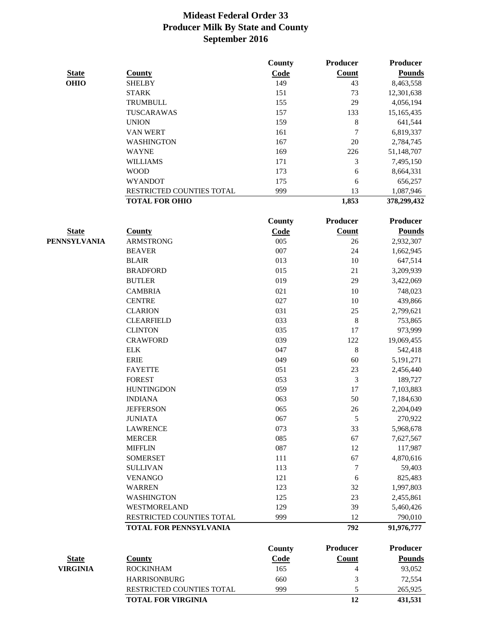|                 |                           | County | <b>Producer</b> | <b>Producer</b> |
|-----------------|---------------------------|--------|-----------------|-----------------|
| <b>State</b>    | <b>County</b>             | Code   | Count           | <b>Pounds</b>   |
| <b>OHIO</b>     | <b>SHELBY</b>             | 149    | 43              | 8,463,558       |
|                 | <b>STARK</b>              | 151    | 73              | 12,301,638      |
|                 | <b>TRUMBULL</b>           | 155    | 29              | 4,056,194       |
|                 | TUSCARAWAS                | 157    | 133             | 15,165,435      |
|                 | <b>UNION</b>              | 159    | 8               | 641,544         |
|                 | <b>VAN WERT</b>           | 161    | 7               | 6,819,337       |
|                 | <b>WASHINGTON</b>         | 167    | 20              | 2,784,745       |
|                 | <b>WAYNE</b>              | 169    | 226             | 51,148,707      |
|                 | <b>WILLIAMS</b>           | 171    | 3               | 7,495,150       |
|                 | <b>WOOD</b>               | 173    | 6               | 8,664,331       |
|                 | <b>WYANDOT</b>            | 175    | 6               | 656,257         |
|                 | RESTRICTED COUNTIES TOTAL | 999    | 13              | 1,087,946       |
|                 | <b>TOTAL FOR OHIO</b>     |        | 1,853           | 378,299,432     |
|                 |                           | County | <b>Producer</b> | <b>Producer</b> |
| <b>State</b>    | <b>County</b>             | Code   | <b>Count</b>    | <b>Pounds</b>   |
| PENNSYLVANIA    | <b>ARMSTRONG</b>          | 005    | 26              | 2,932,307       |
|                 | <b>BEAVER</b>             | 007    | 24              | 1,662,945       |
|                 | <b>BLAIR</b>              | 013    | $10\,$          | 647,514         |
|                 | <b>BRADFORD</b>           | 015    | 21              | 3,209,939       |
|                 |                           | 019    | 29              |                 |
|                 | <b>BUTLER</b>             |        |                 | 3,422,069       |
|                 | <b>CAMBRIA</b>            | 021    | $10\,$          | 748,023         |
|                 | <b>CENTRE</b>             | 027    | $10\,$          | 439,866         |
|                 | <b>CLARION</b>            | 031    | 25              | 2,799,621       |
|                 | <b>CLEARFIELD</b>         | 033    | 8               | 753,865         |
|                 | <b>CLINTON</b>            | 035    | 17              | 973,999         |
|                 | <b>CRAWFORD</b>           | 039    | 122             | 19,069,455      |
|                 | <b>ELK</b>                | 047    | $\,8\,$         | 542,418         |
|                 | <b>ERIE</b>               | 049    | 60              | 5,191,271       |
|                 | <b>FAYETTE</b>            | 051    | 23              | 2,456,440       |
|                 | <b>FOREST</b>             | 053    | 3               | 189,727         |
|                 | <b>HUNTINGDON</b>         | 059    | 17              | 7,103,883       |
|                 | <b>INDIANA</b>            | 063    | 50              | 7,184,630       |
|                 | <b>JEFFERSON</b>          | 065    | 26              | 2,204,049       |
|                 | <b>JUNIATA</b>            | 067    | $\sqrt{5}$      | 270,922         |
|                 | <b>LAWRENCE</b>           | 073    | 33              | 5,968,678       |
|                 | <b>MERCER</b>             | 085    | 67              | 7,627,567       |
|                 | <b>MIFFLIN</b>            | 087    | 12              | 117,987         |
|                 | <b>SOMERSET</b>           | 111    | 67              | 4,870,616       |
|                 | <b>SULLIVAN</b>           | 113    | 7               | 59,403          |
|                 | <b>VENANGO</b>            | 121    | $\sqrt{6}$      | 825,483         |
|                 | <b>WARREN</b>             | 123    | 32              | 1,997,803       |
|                 | <b>WASHINGTON</b>         | 125    | 23              | 2,455,861       |
|                 | WESTMORELAND              | 129    | 39              | 5,460,426       |
|                 | RESTRICTED COUNTIES TOTAL | 999    | 12              | 790,010         |
|                 | TOTAL FOR PENNSYLVANIA    |        | 792             | 91,976,777      |
|                 |                           | County | <b>Producer</b> | <b>Producer</b> |
| <b>State</b>    | <b>County</b>             | Code   | <b>Count</b>    | <b>Pounds</b>   |
| <b>VIRGINIA</b> | <b>ROCKINHAM</b>          | 165    | 4               | 93,052          |
|                 | <b>HARRISONBURG</b>       | 660    | 3               | 72,554          |
|                 | RESTRICTED COUNTIES TOTAL | 999    | 5               | 265,925         |
|                 | <b>TOTAL FOR VIRGINIA</b> |        | 12              | 431,531         |
|                 |                           |        |                 |                 |